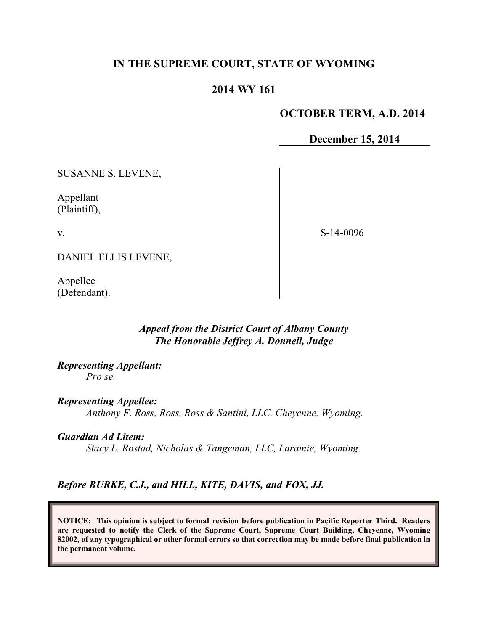# **IN THE SUPREME COURT, STATE OF WYOMING**

# **2014 WY 161**

### **OCTOBER TERM, A.D. 2014**

### **December 15, 2014**

SUSANNE S. LEVENE,

Appellant (Plaintiff),

v.

S-14-0096

DANIEL ELLIS LEVENE,

Appellee (Defendant).

### *Appeal from the District Court of Albany County The Honorable Jeffrey A. Donnell, Judge*

*Representing Appellant: Pro se.*

*Representing Appellee: Anthony F. Ross, Ross, Ross & Santini, LLC, Cheyenne, Wyoming.*

*Guardian Ad Litem:*

*Stacy L. Rostad, Nicholas & Tangeman, LLC, Laramie, Wyoming.*

*Before BURKE, C.J., and HILL, KITE, DAVIS, and FOX, JJ.*

**NOTICE: This opinion is subject to formal revision before publication in Pacific Reporter Third. Readers are requested to notify the Clerk of the Supreme Court, Supreme Court Building, Cheyenne, Wyoming 82002, of any typographical or other formal errors so that correction may be made before final publication in the permanent volume.**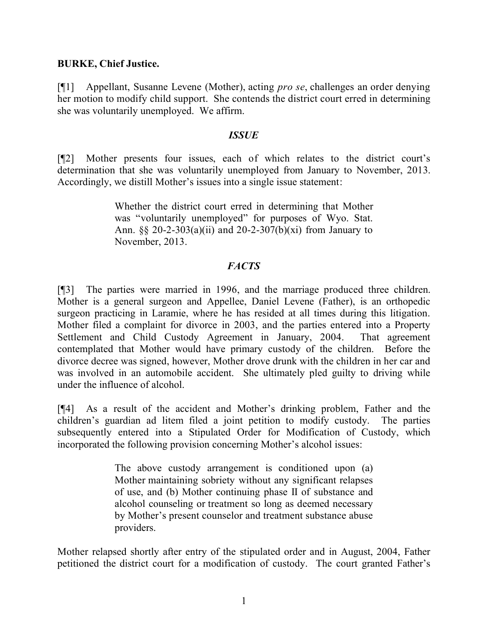### **BURKE, Chief Justice.**

[¶1] Appellant, Susanne Levene (Mother), acting *pro se*, challenges an order denying her motion to modify child support. She contends the district court erred in determining she was voluntarily unemployed. We affirm.

### *ISSUE*

[¶2] Mother presents four issues, each of which relates to the district court's determination that she was voluntarily unemployed from January to November, 2013. Accordingly, we distill Mother's issues into a single issue statement:

> Whether the district court erred in determining that Mother was "voluntarily unemployed" for purposes of Wyo. Stat. Ann. §§ 20-2-303(a)(ii) and 20-2-307(b)(xi) from January to November, 2013.

## *FACTS*

[¶3] The parties were married in 1996, and the marriage produced three children. Mother is a general surgeon and Appellee, Daniel Levene (Father), is an orthopedic surgeon practicing in Laramie, where he has resided at all times during this litigation. Mother filed a complaint for divorce in 2003, and the parties entered into a Property Settlement and Child Custody Agreement in January, 2004. That agreement contemplated that Mother would have primary custody of the children. Before the divorce decree was signed, however, Mother drove drunk with the children in her car and was involved in an automobile accident. She ultimately pled guilty to driving while under the influence of alcohol.

[¶4] As a result of the accident and Mother's drinking problem, Father and the children's guardian ad litem filed a joint petition to modify custody. The parties subsequently entered into a Stipulated Order for Modification of Custody, which incorporated the following provision concerning Mother's alcohol issues:

> The above custody arrangement is conditioned upon (a) Mother maintaining sobriety without any significant relapses of use, and (b) Mother continuing phase II of substance and alcohol counseling or treatment so long as deemed necessary by Mother's present counselor and treatment substance abuse providers.

Mother relapsed shortly after entry of the stipulated order and in August, 2004, Father petitioned the district court for a modification of custody. The court granted Father's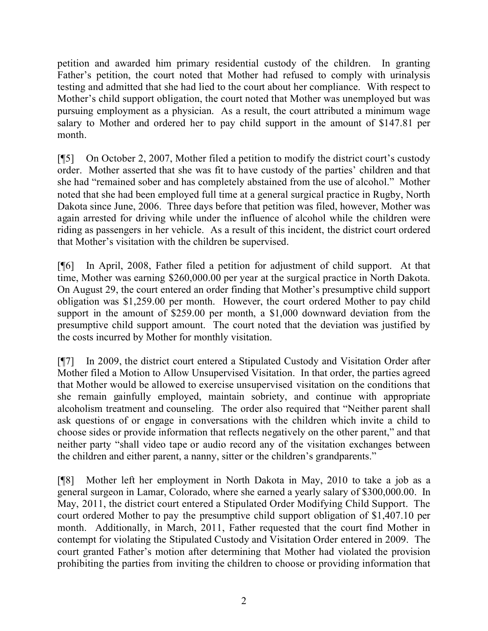petition and awarded him primary residential custody of the children. In granting Father's petition, the court noted that Mother had refused to comply with urinalysis testing and admitted that she had lied to the court about her compliance. With respect to Mother's child support obligation, the court noted that Mother was unemployed but was pursuing employment as a physician. As a result, the court attributed a minimum wage salary to Mother and ordered her to pay child support in the amount of \$147.81 per month.

[¶5] On October 2, 2007, Mother filed a petition to modify the district court's custody order. Mother asserted that she was fit to have custody of the parties' children and that she had "remained sober and has completely abstained from the use of alcohol." Mother noted that she had been employed full time at a general surgical practice in Rugby, North Dakota since June, 2006. Three days before that petition was filed, however, Mother was again arrested for driving while under the influence of alcohol while the children were riding as passengers in her vehicle. As a result of this incident, the district court ordered that Mother's visitation with the children be supervised.

[¶6] In April, 2008, Father filed a petition for adjustment of child support. At that time, Mother was earning \$260,000.00 per year at the surgical practice in North Dakota. On August 29, the court entered an order finding that Mother's presumptive child support obligation was \$1,259.00 per month. However, the court ordered Mother to pay child support in the amount of \$259.00 per month, a \$1,000 downward deviation from the presumptive child support amount. The court noted that the deviation was justified by the costs incurred by Mother for monthly visitation.

[¶7] In 2009, the district court entered a Stipulated Custody and Visitation Order after Mother filed a Motion to Allow Unsupervised Visitation. In that order, the parties agreed that Mother would be allowed to exercise unsupervised visitation on the conditions that she remain gainfully employed, maintain sobriety, and continue with appropriate alcoholism treatment and counseling. The order also required that "Neither parent shall ask questions of or engage in conversations with the children which invite a child to choose sides or provide information that reflects negatively on the other parent," and that neither party "shall video tape or audio record any of the visitation exchanges between the children and either parent, a nanny, sitter or the children's grandparents."

[¶8] Mother left her employment in North Dakota in May, 2010 to take a job as a general surgeon in Lamar, Colorado, where she earned a yearly salary of \$300,000.00. In May, 2011, the district court entered a Stipulated Order Modifying Child Support. The court ordered Mother to pay the presumptive child support obligation of \$1,407.10 per month. Additionally, in March, 2011, Father requested that the court find Mother in contempt for violating the Stipulated Custody and Visitation Order entered in 2009. The court granted Father's motion after determining that Mother had violated the provision prohibiting the parties from inviting the children to choose or providing information that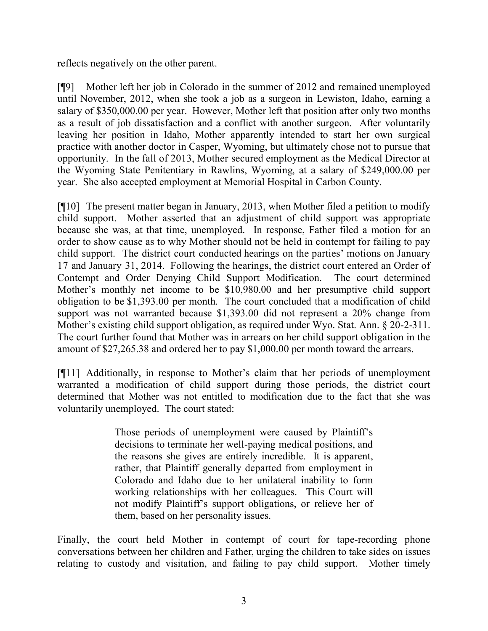reflects negatively on the other parent.

[¶9] Mother left her job in Colorado in the summer of 2012 and remained unemployed until November, 2012, when she took a job as a surgeon in Lewiston, Idaho, earning a salary of \$350,000.00 per year. However, Mother left that position after only two months as a result of job dissatisfaction and a conflict with another surgeon. After voluntarily leaving her position in Idaho, Mother apparently intended to start her own surgical practice with another doctor in Casper, Wyoming, but ultimately chose not to pursue that opportunity. In the fall of 2013, Mother secured employment as the Medical Director at the Wyoming State Penitentiary in Rawlins, Wyoming, at a salary of \$249,000.00 per year. She also accepted employment at Memorial Hospital in Carbon County.

[¶10] The present matter began in January, 2013, when Mother filed a petition to modify child support. Mother asserted that an adjustment of child support was appropriate because she was, at that time, unemployed. In response, Father filed a motion for an order to show cause as to why Mother should not be held in contempt for failing to pay child support. The district court conducted hearings on the parties' motions on January 17 and January 31, 2014. Following the hearings, the district court entered an Order of Contempt and Order Denying Child Support Modification. The court determined Mother's monthly net income to be \$10,980.00 and her presumptive child support obligation to be \$1,393.00 per month. The court concluded that a modification of child support was not warranted because \$1,393.00 did not represent a 20% change from Mother's existing child support obligation, as required under Wyo. Stat. Ann. § 20-2-311. The court further found that Mother was in arrears on her child support obligation in the amount of \$27,265.38 and ordered her to pay \$1,000.00 per month toward the arrears.

[¶11] Additionally, in response to Mother's claim that her periods of unemployment warranted a modification of child support during those periods, the district court determined that Mother was not entitled to modification due to the fact that she was voluntarily unemployed. The court stated:

> Those periods of unemployment were caused by Plaintiff's decisions to terminate her well-paying medical positions, and the reasons she gives are entirely incredible. It is apparent, rather, that Plaintiff generally departed from employment in Colorado and Idaho due to her unilateral inability to form working relationships with her colleagues. This Court will not modify Plaintiff's support obligations, or relieve her of them, based on her personality issues.

Finally, the court held Mother in contempt of court for tape-recording phone conversations between her children and Father, urging the children to take sides on issues relating to custody and visitation, and failing to pay child support. Mother timely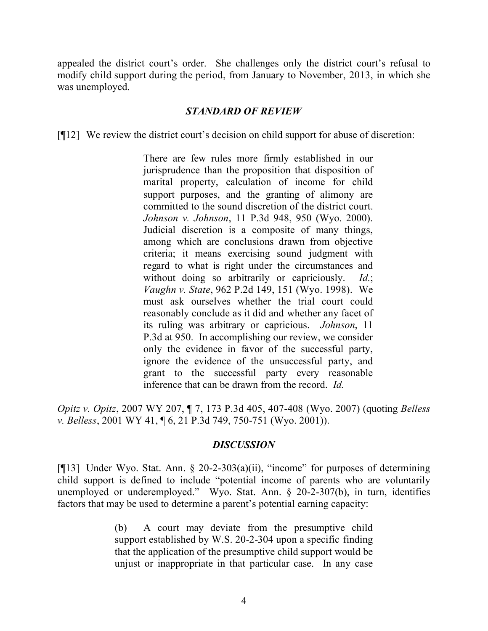appealed the district court's order. She challenges only the district court's refusal to modify child support during the period, from January to November, 2013, in which she was unemployed.

#### *STANDARD OF REVIEW*

[¶12] We review the district court's decision on child support for abuse of discretion:

There are few rules more firmly established in our jurisprudence than the proposition that disposition of marital property, calculation of income for child support purposes, and the granting of alimony are committed to the sound discretion of the district court. *Johnson v. Johnson*, 11 P.3d 948, 950 (Wyo. 2000). Judicial discretion is a composite of many things, among which are conclusions drawn from objective criteria; it means exercising sound judgment with regard to what is right under the circumstances and without doing so arbitrarily or capriciously. *Id.*; *Vaughn v. State*, 962 P.2d 149, 151 (Wyo. 1998). We must ask ourselves whether the trial court could reasonably conclude as it did and whether any facet of its ruling was arbitrary or capricious. *Johnson*, 11 P.3d at 950. In accomplishing our review, we consider only the evidence in favor of the successful party, ignore the evidence of the unsuccessful party, and grant to the successful party every reasonable inference that can be drawn from the record. *Id.*

*Opitz v. Opitz*, 2007 WY 207, ¶ 7, 173 P.3d 405, 407-408 (Wyo. 2007) (quoting *Belless v. Belless*, 2001 WY 41, ¶ 6, 21 P.3d 749, 750-751 (Wyo. 2001)).

#### *DISCUSSION*

[¶13] Under Wyo. Stat. Ann. § 20-2-303(a)(ii), "income" for purposes of determining child support is defined to include "potential income of parents who are voluntarily unemployed or underemployed." Wyo. Stat. Ann. § 20-2-307(b), in turn, identifies factors that may be used to determine a parent's potential earning capacity:

> (b) A court may deviate from the presumptive child support established by W.S. 20-2-304 upon a specific finding that the application of the presumptive child support would be unjust or inappropriate in that particular case. In any case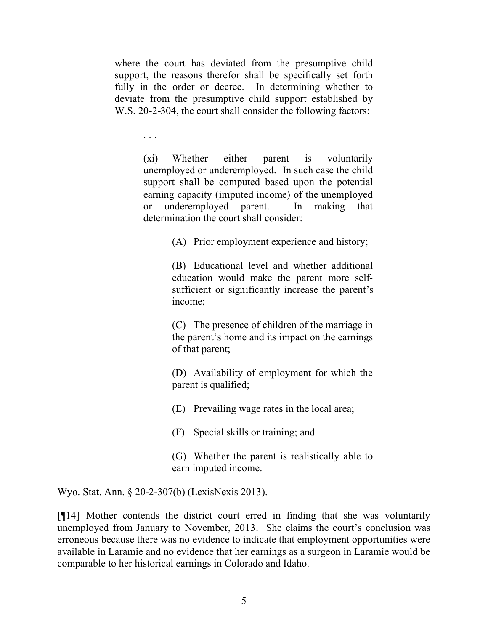where the court has deviated from the presumptive child support, the reasons therefor shall be specifically set forth fully in the order or decree. In determining whether to deviate from the presumptive child support established by W.S. 20-2-304, the court shall consider the following factors:

. . .

(xi) Whether either parent is voluntarily unemployed or underemployed. In such case the child support shall be computed based upon the potential earning capacity (imputed income) of the unemployed or underemployed parent. In making that determination the court shall consider:

(A) Prior employment experience and history;

(B) Educational level and whether additional education would make the parent more selfsufficient or significantly increase the parent's income;

(C) The presence of children of the marriage in the parent's home and its impact on the earnings of that parent;

(D) Availability of employment for which the parent is qualified;

(E) Prevailing wage rates in the local area;

(F) Special skills or training; and

(G) Whether the parent is realistically able to earn imputed income.

Wyo. Stat. Ann. § 20-2-307(b) (LexisNexis 2013).

[¶14] Mother contends the district court erred in finding that she was voluntarily unemployed from January to November, 2013. She claims the court's conclusion was erroneous because there was no evidence to indicate that employment opportunities were available in Laramie and no evidence that her earnings as a surgeon in Laramie would be comparable to her historical earnings in Colorado and Idaho.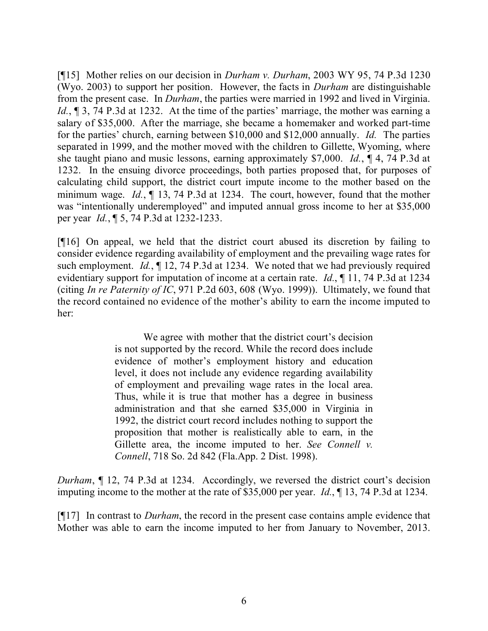[¶15] Mother relies on our decision in *Durham v. Durham*, 2003 WY 95, 74 P.3d 1230 (Wyo. 2003) to support her position. However, the facts in *Durham* are distinguishable from the present case. In *Durham*, the parties were married in 1992 and lived in Virginia. *Id.*, ¶ 3, 74 P.3d at 1232. At the time of the parties' marriage, the mother was earning a salary of \$35,000. After the marriage, she became a homemaker and worked part-time for the parties' church, earning between \$10,000 and \$12,000 annually. *Id.* The parties separated in 1999, and the mother moved with the children to Gillette, Wyoming, where she taught piano and music lessons, earning approximately \$7,000. *Id.*, ¶ 4, 74 P.3d at 1232. In the ensuing divorce proceedings, both parties proposed that, for purposes of calculating child support, the district court impute income to the mother based on the minimum wage. *Id.*, ¶ 13, 74 P.3d at 1234. The court, however, found that the mother was "intentionally underemployed" and imputed annual gross income to her at \$35,000 per year *Id.*, ¶ 5, 74 P.3d at 1232-1233.

[¶16] On appeal, we held that the district court abused its discretion by failing to consider evidence regarding availability of employment and the prevailing wage rates for such employment. *Id.*, ¶ 12, 74 P.3d at 1234. We noted that we had previously required evidentiary support for imputation of income at a certain rate. *Id.*, ¶ 11, 74 P.3d at 1234 (citing *In re Paternity of IC*, 971 P.2d 603, 608 (Wyo. 1999)). Ultimately, we found that the record contained no evidence of the mother's ability to earn the income imputed to her:

> We agree with mother that the district court's decision is not supported by the record. While the record does include evidence of mother's employment history and education level, it does not include any evidence regarding availability of employment and prevailing wage rates in the local area. Thus, while it is true that mother has a degree in business administration and that she earned \$35,000 in Virginia in 1992, the district court record includes nothing to support the proposition that mother is realistically able to earn, in the Gillette area, the income imputed to her. *See Connell v. Connell*, 718 So. 2d 842 (Fla.App. 2 Dist. 1998).

*Durham*, ¶ 12, 74 P.3d at 1234. Accordingly, we reversed the district court's decision imputing income to the mother at the rate of \$35,000 per year. *Id.*, ¶ 13, 74 P.3d at 1234.

[¶17] In contrast to *Durham*, the record in the present case contains ample evidence that Mother was able to earn the income imputed to her from January to November, 2013.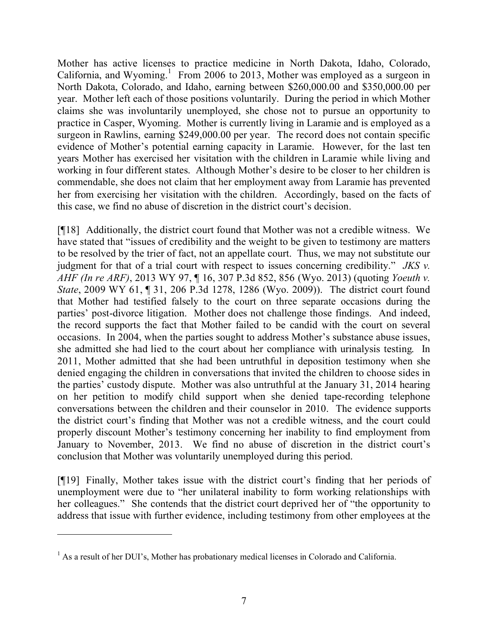Mother has active licenses to practice medicine in North Dakota, Idaho, Colorado, California, and Wyoming.<sup>1</sup> From 2006 to 2013, Mother was employed as a surgeon in North Dakota, Colorado, and Idaho, earning between \$260,000.00 and \$350,000.00 per year. Mother left each of those positions voluntarily. During the period in which Mother claims she was involuntarily unemployed, she chose not to pursue an opportunity to practice in Casper, Wyoming. Mother is currently living in Laramie and is employed as a surgeon in Rawlins, earning \$249,000.00 per year. The record does not contain specific evidence of Mother's potential earning capacity in Laramie. However, for the last ten years Mother has exercised her visitation with the children in Laramie while living and working in four different states. Although Mother's desire to be closer to her children is commendable, she does not claim that her employment away from Laramie has prevented her from exercising her visitation with the children. Accordingly, based on the facts of this case, we find no abuse of discretion in the district court's decision.

[¶18] Additionally, the district court found that Mother was not a credible witness. We have stated that "issues of credibility and the weight to be given to testimony are matters to be resolved by the trier of fact, not an appellate court. Thus, we may not substitute our judgment for that of a trial court with respect to issues concerning credibility." *JKS v. AHF (In re ARF)*, 2013 WY 97, ¶ 16, 307 P.3d 852, 856 (Wyo. 2013) (quoting *Yoeuth v. State*, 2009 WY 61, ¶ 31, 206 P.3d 1278, 1286 (Wyo. 2009)). The district court found that Mother had testified falsely to the court on three separate occasions during the parties' post-divorce litigation. Mother does not challenge those findings. And indeed, the record supports the fact that Mother failed to be candid with the court on several occasions. In 2004, when the parties sought to address Mother's substance abuse issues, she admitted she had lied to the court about her compliance with urinalysis testing. In 2011, Mother admitted that she had been untruthful in deposition testimony when she denied engaging the children in conversations that invited the children to choose sides in the parties' custody dispute. Mother was also untruthful at the January 31, 2014 hearing on her petition to modify child support when she denied tape-recording telephone conversations between the children and their counselor in 2010. The evidence supports the district court's finding that Mother was not a credible witness, and the court could properly discount Mother's testimony concerning her inability to find employment from January to November, 2013. We find no abuse of discretion in the district court's conclusion that Mother was voluntarily unemployed during this period.

[¶19] Finally, Mother takes issue with the district court's finding that her periods of unemployment were due to "her unilateral inability to form working relationships with her colleagues." She contends that the district court deprived her of "the opportunity to address that issue with further evidence, including testimony from other employees at the

 $\overline{a}$ 

<sup>&</sup>lt;sup>1</sup> As a result of her DUI's, Mother has probationary medical licenses in Colorado and California.